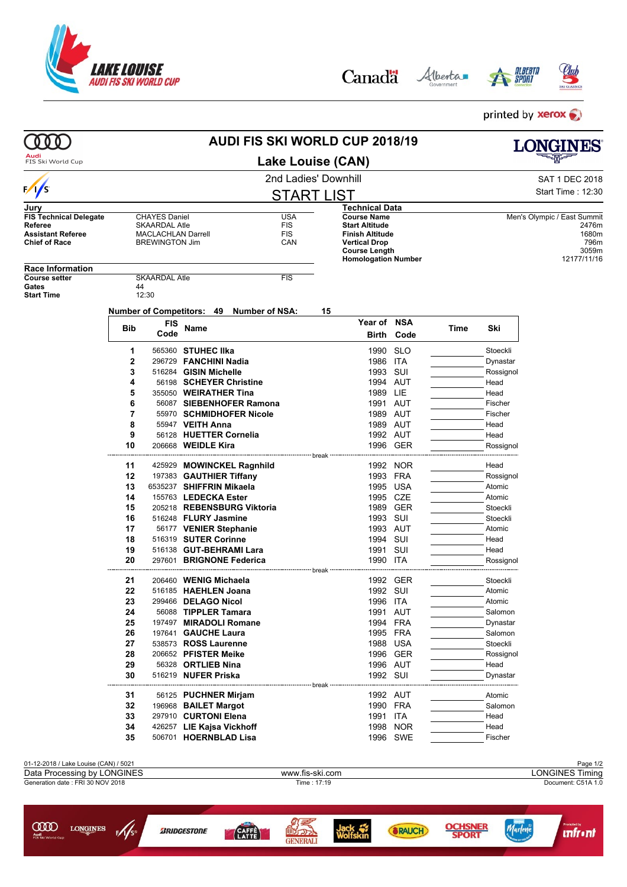

**COOD** LONGINES

 $\frac{f}{f}$ 

**BRIDGESTONE** 

Alberta Canadä

**ALBERTA** 

**INER**<br>RT

**OCHS**<br>SPO

Marlene

**Infrant** 



printed by **xerox** 

|                                                  | AUDI FIS SKI WORLD CUP 2018/19                                   |                                    |                           |                            |             |                                                |            |      |           | LONGINES                    |  |
|--------------------------------------------------|------------------------------------------------------------------|------------------------------------|---------------------------|----------------------------|-------------|------------------------------------------------|------------|------|-----------|-----------------------------|--|
| Audi<br>FIS Ski World Cup                        | <b>Lake Louise (CAN)</b>                                         |                                    |                           |                            |             |                                                |            |      |           |                             |  |
|                                                  |                                                                  | 2nd Ladies' Downhill               |                           |                            |             |                                                |            |      |           | SAT 1 DEC 2018              |  |
| $\frac{1}{s}$                                    |                                                                  |                                    |                           | <b>START LIST</b>          |             | Start Time: 12:30                              |            |      |           |                             |  |
| Jury                                             |                                                                  |                                    |                           |                            |             | Technical Data                                 |            |      |           |                             |  |
| <b>FIS Technical Delegate</b>                    |                                                                  | <b>CHAYES Daniel</b>               |                           | <b>USA</b>                 |             | <b>Course Name</b>                             |            |      |           | Men's Olympic / East Summit |  |
| Referee                                          |                                                                  | <b>SKAARDAL Atle</b><br><b>FIS</b> |                           |                            |             | <b>Start Altitude</b>                          |            |      |           | 2476m                       |  |
| <b>Assistant Referee</b><br><b>Chief of Race</b> | <b>MACLACHLAN Darrell</b><br>FIS<br><b>BREWINGTON Jim</b><br>CAN |                                    |                           |                            |             | <b>Finish Altitude</b><br><b>Vertical Drop</b> |            |      |           | 1680m<br>796m               |  |
|                                                  |                                                                  |                                    |                           |                            |             | <b>Course Length</b>                           |            |      |           | 3059m                       |  |
|                                                  |                                                                  |                                    |                           |                            |             | <b>Homologation Number</b>                     |            |      |           | 12177/11/16                 |  |
| <b>Race Information</b><br><b>Course setter</b>  |                                                                  |                                    |                           |                            |             |                                                |            |      |           |                             |  |
| Gates                                            | 44                                                               | <b>SKAARDAL Atle</b>               |                           | <b>FIS</b>                 |             |                                                |            |      |           |                             |  |
| <b>Start Time</b>                                | 12:30                                                            |                                    |                           |                            |             |                                                |            |      |           |                             |  |
|                                                  | Number of Competitors: 49 Number of NSA:                         |                                    |                           |                            |             |                                                |            |      |           |                             |  |
|                                                  |                                                                  |                                    |                           |                            | 15          |                                                |            |      |           |                             |  |
|                                                  | Bib                                                              | FIS                                | Name                      |                            |             | Year of                                        | <b>NSA</b> | Time | Ski       |                             |  |
|                                                  |                                                                  | Code                               |                           |                            |             | Birth                                          | Code       |      |           |                             |  |
|                                                  | 1                                                                |                                    | 565360 STUHEC IIka        |                            |             | 1990 SLO                                       |            |      | Stoeckli  |                             |  |
|                                                  | 2                                                                |                                    | 296729 FANCHINI Nadia     |                            |             | 1986 ITA                                       |            |      | Dynastar  |                             |  |
|                                                  | 3                                                                |                                    | 516284 GISIN Michelle     |                            |             | 1993 SUI                                       |            |      | Rossignol |                             |  |
|                                                  | 4                                                                |                                    | 56198 SCHEYER Christine   |                            |             | 1994 AUT                                       |            |      | Head      |                             |  |
|                                                  | 5                                                                |                                    | 355050 WEIRATHER Tina     |                            |             | 1989                                           | LIE        |      | Head      |                             |  |
|                                                  | 6                                                                |                                    |                           | 56087 SIEBENHOFER Ramona   |             | 1991 AUT                                       |            |      | Fischer   |                             |  |
|                                                  | 7                                                                |                                    |                           | 55970 SCHMIDHOFER Nicole   |             | 1989 AUT                                       |            |      | Fischer   |                             |  |
|                                                  | 8                                                                |                                    | 55947 VEITH Anna          |                            |             | 1989 AUT                                       |            |      | Head      |                             |  |
|                                                  | 9                                                                |                                    | 56128 HUETTER Cornelia    |                            |             | 1992 AUT                                       |            |      | Head      |                             |  |
|                                                  | 10                                                               |                                    | 206668 WEIDLE Kira        |                            |             |                                                | 1996 GER   |      | Rossignol |                             |  |
|                                                  |                                                                  |                                    |                           |                            |             |                                                |            |      |           |                             |  |
|                                                  | 11                                                               |                                    |                           | 425929 MOWINCKEL Ragnhild  |             |                                                | 1992 NOR   |      | Head      |                             |  |
|                                                  | 12                                                               |                                    | 197383 GAUTHIER Tiffany   |                            |             | 1993 FRA                                       |            |      | Rossignol |                             |  |
|                                                  | 13                                                               |                                    | 6535237 SHIFFRIN Mikaela  |                            |             | 1995                                           | USA        |      | Atomic    |                             |  |
|                                                  | 14                                                               |                                    | 155763 LEDECKA Ester      |                            |             | 1995 CZE                                       |            |      | Atomic    |                             |  |
|                                                  | 15                                                               |                                    |                           | 205218 REBENSBURG Viktoria |             | 1989                                           | GER        |      | Stoeckli  |                             |  |
|                                                  | 16                                                               |                                    | 516248 FLURY Jasmine      |                            |             | 1993 SUI                                       |            |      | Stoeckli  |                             |  |
|                                                  | 17                                                               |                                    | 56177 VENIER Stephanie    |                            |             | 1993 AUT                                       |            |      | Atomic    |                             |  |
|                                                  | 18                                                               |                                    | 516319 SUTER Corinne      |                            |             | 1994 SUI                                       |            |      | Head      |                             |  |
|                                                  | 19                                                               |                                    | 516138 GUT-BEHRAMI Lara   |                            |             | 1991                                           | SUI        |      | Head      |                             |  |
|                                                  | 20                                                               |                                    | 297601 BRIGNONE Federica  |                            |             | 1990 ITA                                       |            |      | Rossignol |                             |  |
|                                                  |                                                                  |                                    |                           |                            | -- break -- |                                                |            |      |           |                             |  |
|                                                  | 21                                                               |                                    | 206460 WENIG Michaela     |                            |             |                                                | 1992 GER   |      | Stoeckli  |                             |  |
|                                                  | 22                                                               |                                    | 516185 HAEHLEN Joana      |                            |             | 1992 SUI                                       |            |      | Atomic    |                             |  |
|                                                  | 23                                                               |                                    | 299466 DELAGO Nicol       |                            |             | 1996 ITA                                       |            |      | Atomic    |                             |  |
|                                                  | 24                                                               |                                    | 56088 TIPPLER Tamara      |                            |             | 1991 AUT                                       |            |      | Salomon   |                             |  |
|                                                  | 25                                                               |                                    | 197497 MIRADOLI Romane    |                            |             | 1994 FRA                                       |            |      | Dynastar  |                             |  |
|                                                  | 26                                                               |                                    | 197641 GAUCHE Laura       |                            |             | 1995 FRA                                       |            |      | Salomon   |                             |  |
|                                                  | 27                                                               |                                    | 538573 ROSS Laurenne      |                            |             | 1988 USA                                       |            |      | Stoeckli  |                             |  |
|                                                  | 28                                                               |                                    | 206652 PFISTER Meike      |                            |             |                                                | 1996 GER   |      | Rossignol |                             |  |
|                                                  | 29                                                               |                                    | 56328 ORTLIEB Nina        |                            |             | 1996 AUT                                       |            |      | Head      |                             |  |
|                                                  | 30                                                               |                                    | 516219 NUFER Priska       |                            |             | 1992 SUI                                       |            |      | Dynastar  |                             |  |
|                                                  |                                                                  |                                    |                           |                            | break       | ------------                                   |            |      |           |                             |  |
|                                                  | 31                                                               |                                    | 56125 PUCHNER Mirjam      |                            |             | 1992 AUT                                       |            |      | Atomic    |                             |  |
|                                                  | 32                                                               |                                    | 196968 BAILET Margot      |                            |             | 1990 FRA                                       |            |      | Salomon   |                             |  |
|                                                  | 33                                                               |                                    | 297910 CURTONI Elena      |                            |             | 1991 ITA                                       |            |      | Head      |                             |  |
|                                                  | 34                                                               |                                    | 426257 LIE Kajsa Vickhoff |                            |             |                                                | 1998 NOR   |      | Head      |                             |  |
|                                                  | 35                                                               |                                    | 506701 HOERNBLAD Lisa     |                            |             |                                                | 1996 SWE   |      | Fischer   |                             |  |
|                                                  |                                                                  |                                    |                           |                            |             |                                                |            |      |           |                             |  |
| 01-12-2018 / Lake Louise (CAN) / 5021            |                                                                  |                                    |                           |                            |             |                                                |            |      |           | Page 1/2                    |  |
| Data Processing by LONGINES                      |                                                                  |                                    |                           | www.fis-ski.com            |             |                                                |            |      |           | <b>LONGINES Timing</b>      |  |
| Generation date: FRI 30 NOV 2018                 |                                                                  |                                    |                           |                            | Time: 17:19 |                                                |            |      |           | Document: C51A 1.0          |  |

9号<br>**配示** 

Jack<br>Wolfskin

**SRAUCH** 

**CATE**